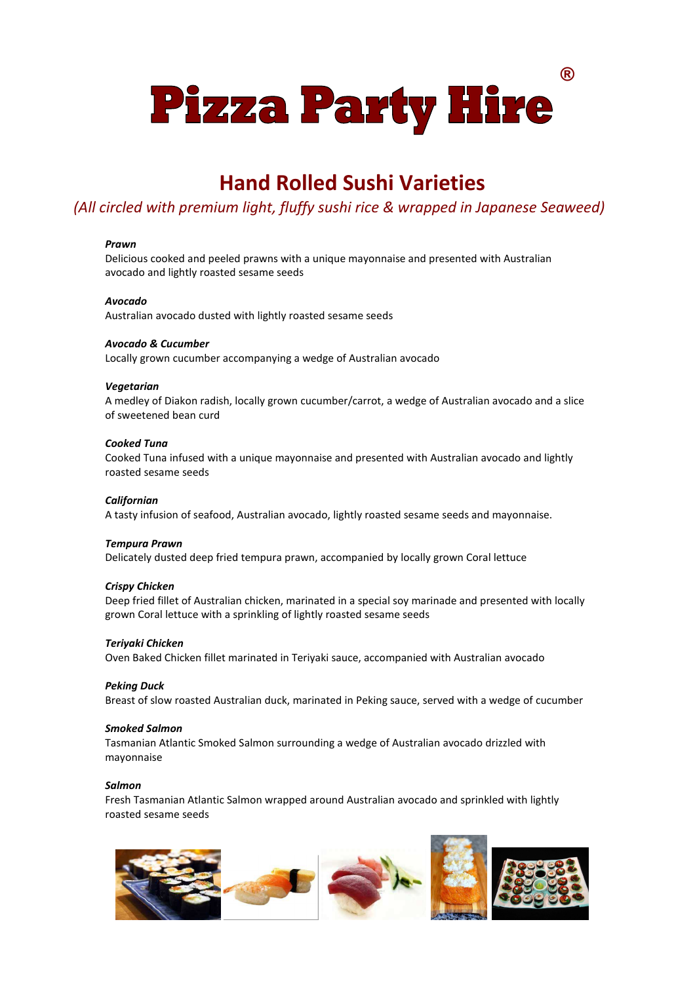**® Pizza Party Hire** 

### **Hand Rolled Sushi Varieties**

### *(All circled with premium light, fluffy sushi rice & wrapped in Japanese Seaweed)*

#### *Prawn*

Delicious cooked and peeled prawns with a unique mayonnaise and presented with Australian avocado and lightly roasted sesame seeds

#### *Avocado*

Australian avocado dusted with lightly roasted sesame seeds

#### *Avocado & Cucumber*

Locally grown cucumber accompanying a wedge of Australian avocado

#### *Vegetarian*

A medley of Diakon radish, locally grown cucumber/carrot, a wedge of Australian avocado and a slice of sweetened bean curd

#### *Cooked Tuna*

Cooked Tuna infused with a unique mayonnaise and presented with Australian avocado and lightly roasted sesame seeds

#### *Californian*

A tasty infusion of seafood, Australian avocado, lightly roasted sesame seeds and mayonnaise.

#### *Tempura Prawn*

Delicately dusted deep fried tempura prawn, accompanied by locally grown Coral lettuce

#### *Crispy Chicken*

Deep fried fillet of Australian chicken, marinated in a special soy marinade and presented with locally grown Coral lettuce with a sprinkling of lightly roasted sesame seeds

#### *Teriyaki Chicken*

Oven Baked Chicken fillet marinated in Teriyaki sauce, accompanied with Australian avocado

#### *Peking Duck*

Breast of slow roasted Australian duck, marinated in Peking sauce, served with a wedge of cucumber

#### *Smoked Salmon*

Tasmanian Atlantic Smoked Salmon surrounding a wedge of Australian avocado drizzled with mayonnaise

#### *Salmon*

Fresh Tasmanian Atlantic Salmon wrapped around Australian avocado and sprinkled with lightly roasted sesame seeds